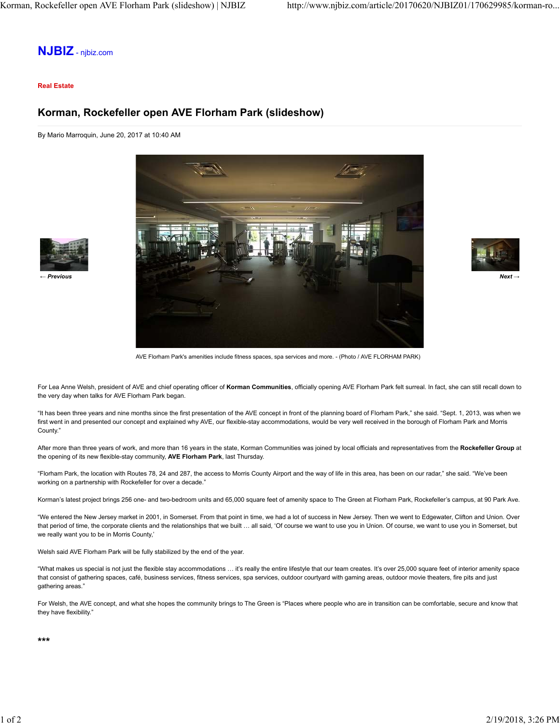## **NJBIZ** - njbiz.com

#### **Real Estate**

## **Korman, Rockefeller open AVE Florham Park (slideshow)**

By Mario Marroquin, June 20, 2017 at 10:40 AM





AVE Florham Park's amenities include fitness spaces, spa services and more. - (Photo / AVE FLORHAM PARK)

For Lea Anne Welsh, president of AVE and chief operating officer of **Korman Communities**, officially opening AVE Florham Park felt surreal. In fact, she can still recall down to the very day when talks for AVE Florham Park began.

"It has been three years and nine months since the first presentation of the AVE concept in front of the planning board of Florham Park," she said. "Sept. 1, 2013, was when we first went in and presented our concept and explained why AVE, our flexible-stay accommodations, would be very well received in the borough of Florham Park and Morris County."

After more than three years of work, and more than 16 years in the state, Korman Communities was joined by local officials and representatives from the **Rockefeller Group** at the opening of its new flexible-stay community, **AVE Florham Park**, last Thursday.

"Florham Park, the location with Routes 78, 24 and 287, the access to Morris County Airport and the way of life in this area, has been on our radar," she said. "We've been working on a partnership with Rockefeller for over a decade."

Korman's latest project brings 256 one- and two-bedroom units and 65,000 square feet of amenity space to The Green at Florham Park, Rockefeller's campus, at 90 Park Ave.

"We entered the New Jersey market in 2001, in Somerset. From that point in time, we had a lot of success in New Jersey. Then we went to Edgewater, Clifton and Union. Over that period of time, the corporate clients and the relationships that we built … all said, 'Of course we want to use you in Union. Of course, we want to use you in Somerset, but we really want you to be in Morris County,'

Welsh said AVE Florham Park will be fully stabilized by the end of the year.

"What makes us special is not just the flexible stay accommodations … it's really the entire lifestyle that our team creates. It's over 25,000 square feet of interior amenity space that consist of gathering spaces, café, business services, fitness services, spa services, outdoor courtyard with gaming areas, outdoor movie theaters, fire pits and just gathering areas."

For Welsh, the AVE concept, and what she hopes the community brings to The Green is "Places where people who are in transition can be comfortable, secure and know that they have flexibility."

**\*\*\***